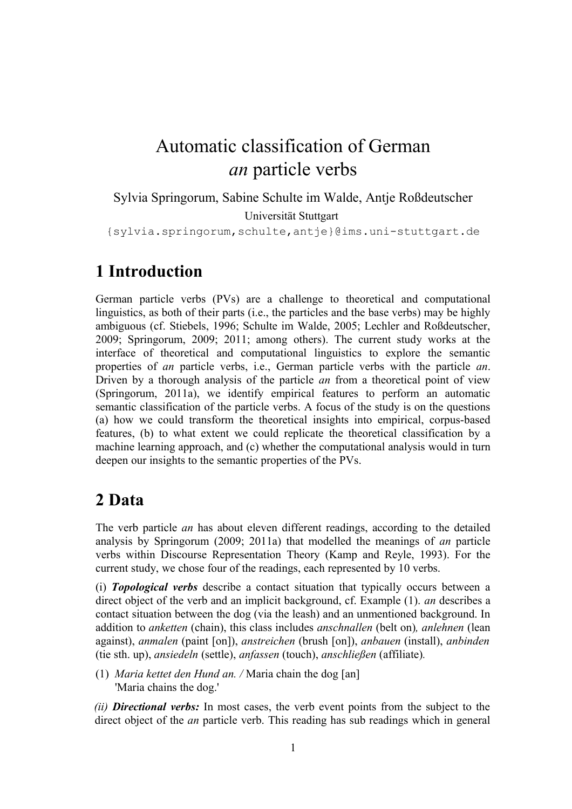# Automatic classification of German *an* particle verbs

Sylvia Springorum, Sabine Schulte im Walde, Antje Roßdeutscher

Universität Stuttgart

{sylvia.springorum,schulte,antje}@ims.uni-stuttgart.de

## **1 Introduction**

German particle verbs (PVs) are a challenge to theoretical and computational linguistics, as both of their parts (i.e., the particles and the base verbs) may be highly ambiguous (cf. Stiebels, 1996; Schulte im Walde, 2005; Lechler and Roßdeutscher, 2009; Springorum, 2009; 2011; among others). The current study works at the interface of theoretical and computational linguistics to explore the semantic properties of *an* particle verbs, i.e., German particle verbs with the particle *an*. Driven by a thorough analysis of the particle *an* from a theoretical point of view (Springorum, 2011a), we identify empirical features to perform an automatic semantic classification of the particle verbs. A focus of the study is on the questions (a) how we could transform the theoretical insights into empirical, corpus-based features, (b) to what extent we could replicate the theoretical classification by a machine learning approach, and (c) whether the computational analysis would in turn deepen our insights to the semantic properties of the PVs.

## **2 Data**

The verb particle *an* has about eleven different readings, according to the detailed analysis by Springorum (2009; 2011a) that modelled the meanings of *an* particle verbs within Discourse Representation Theory (Kamp and Reyle, 1993). For the current study, we chose four of the readings, each represented by 10 verbs.

(i) *Topological verbs* describe a contact situation that typically occurs between a direct object of the verb and an implicit background, cf. Example (1). *an* describes a contact situation between the dog (via the leash) and an unmentioned background. In addition to *anketten* (chain), this class includes *anschnallen* (belt on)*, anlehnen* (lean against), *anmalen* (paint [on]), *anstreichen* (brush [on]), *anbauen* (install), *anbinden* (tie sth. up), *ansiedeln* (settle), *anfassen* (touch), *anschließen* (affiliate)*.*

(1) *Maria kettet den Hund an. /* Maria chain the dog [an] 'Maria chains the dog.'

*(ii) Directional verbs:* In most cases, the verb event points from the subject to the direct object of the *an* particle verb. This reading has sub readings which in general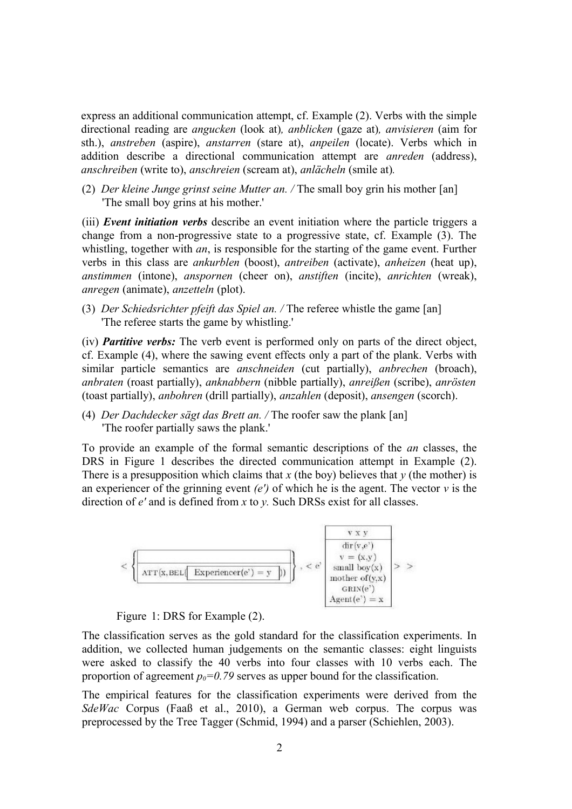express an additional communication attempt, cf. Example (2). Verbs with the simple directional reading are *angucken* (look at)*, anblicken* (gaze at)*, anvisieren* (aim for sth.), *anstreben* (aspire), *anstarren* (stare at), *anpeilen* (locate). Verbs which in addition describe a directional communication attempt are *anreden* (address), *anschreiben* (write to), *anschreien* (scream at), *anlächeln* (smile at)*.*

(2) *Der kleine Junge grinst seine Mutter an. /* The small boy grin his mother [an] 'The small boy grins at his mother.'

(iii) *Event initiation verbs* describe an event initiation where the particle triggers a change from a non-progressive state to a progressive state, cf. Example (3). The whistling, together with *an*, is responsible for the starting of the game event. Further verbs in this class are *ankurblen* (boost), *antreiben* (activate), *anheizen* (heat up), *anstimmen* (intone), *anspornen* (cheer on), *anstiften* (incite), *anrichten* (wreak), *anregen* (animate), *anzetteln* (plot).

(3) *Der Schiedsrichter pfeift das Spiel an. /* The referee whistle the game [an] 'The referee starts the game by whistling.'

(iv) *Partitive verbs:* The verb event is performed only on parts of the direct object, cf. Example (4), where the sawing event effects only a part of the plank. Verbs with similar particle semantics are *anschneiden* (cut partially), *anbrechen* (broach), *anbraten* (roast partially), *anknabbern* (nibble partially), *anreißen* (scribe), *anrösten* (toast partially), *anbohren* (drill partially), *anzahlen* (deposit), *ansengen* (scorch).

(4) *Der Dachdecker sägt das Brett an. /* The roofer saw the plank [an] 'The roofer partially saws the plank.'

To provide an example of the formal semantic descriptions of the *an* classes, the DRS in Figure 1 describes the directed communication attempt in Example (2). There is a presupposition which claims that  $x$  (the boy) believes that  $y$  (the mother) is an experiencer of the grinning event *(e')* of which he is the agent. The vector *v* is the direction of *e'* and is defined from *x* to *y.* Such DRSs exist for all classes.



Figure 1: DRS for Example (2).

The classification serves as the gold standard for the classification experiments. In addition, we collected human judgements on the semantic classes: eight linguists were asked to classify the 40 verbs into four classes with 10 verbs each. The proportion of agreement  $p_0=0.79$  serves as upper bound for the classification.

The empirical features for the classification experiments were derived from the *SdeWac* Corpus (Faaß et al., 2010), a German web corpus. The corpus was preprocessed by the Tree Tagger (Schmid, 1994) and a parser (Schiehlen, 2003).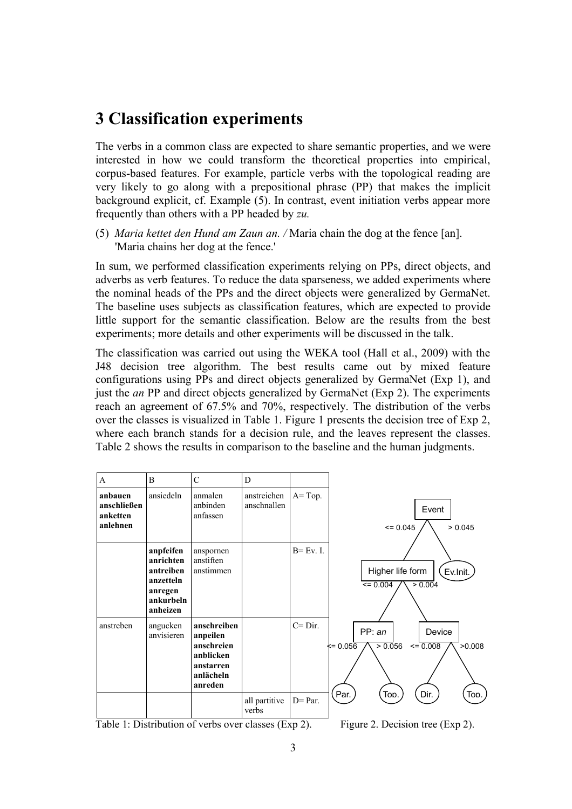## **3 Classification experiments**

The verbs in a common class are expected to share semantic properties, and we were interested in how we could transform the theoretical properties into empirical, corpus-based features. For example, particle verbs with the topological reading are very likely to go along with a prepositional phrase (PP) that makes the implicit background explicit, cf. Example (5). In contrast, event initiation verbs appear more frequently than others with a PP headed by *zu.*

(5) *Maria kettet den Hund am Zaun an. /* Maria chain the dog at the fence [an]. 'Maria chains her dog at the fence.'

In sum, we performed classification experiments relying on PPs, direct objects, and adverbs as verb features. To reduce the data sparseness, we added experiments where the nominal heads of the PPs and the direct objects were generalized by GermaNet. The baseline uses subjects as classification features, which are expected to provide little support for the semantic classification. Below are the results from the best experiments; more details and other experiments will be discussed in the talk.

The classification was carried out using the WEKA tool (Hall et al., 2009) with the J48 decision tree algorithm. The best results came out by mixed feature configurations using PPs and direct objects generalized by GermaNet (Exp 1), and just the *an* PP and direct objects generalized by GermaNet (Exp 2). The experiments reach an agreement of 67.5% and 70%, respectively. The distribution of the verbs over the classes is visualized in Table 1. Figure 1 presents the decision tree of Exp 2, where each branch stands for a decision rule, and the leaves represent the classes. Table 2 shows the results in comparison to the baseline and the human judgments.



Table 1: Distribution of verbs over classes (Exp 2). Figure 2. Decision tree (Exp 2).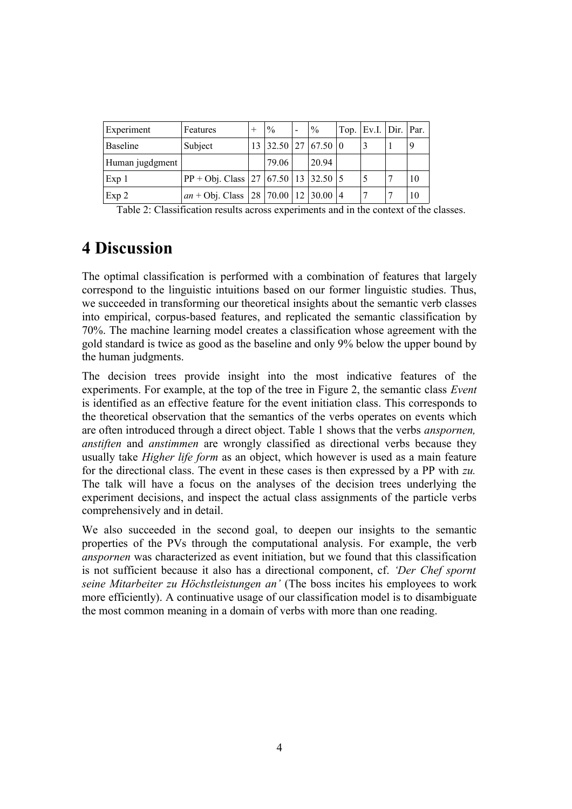| Experiment       | Features                                                                           | $\frac{0}{0}$ | $\%$                  | $\vert$ Top. $\vert$ Ev.I. $\vert$ Dir. $\vert$ Par. |    |
|------------------|------------------------------------------------------------------------------------|---------------|-----------------------|------------------------------------------------------|----|
| Baseline         | Subject                                                                            |               | $13$ 32.50 27 67.50 0 |                                                      | 9  |
| Human jugdgment  |                                                                                    | 79.06         | 20.94                 |                                                      |    |
| Exp <sub>1</sub> | $ PP + Obj$ . Class $ 27 $ 67.50   13   32.50   5                                  |               |                       | 5                                                    | 10 |
| Exp 2            | an + Obj. Class $\left  28 \right  70.00 \left  12 \right  30.00 \left  4 \right $ |               |                       |                                                      | 10 |

Table 2: Classification results across experiments and in the context of the classes.

## **4 Discussion**

The optimal classification is performed with a combination of features that largely correspond to the linguistic intuitions based on our former linguistic studies. Thus, we succeeded in transforming our theoretical insights about the semantic verb classes into empirical, corpus-based features, and replicated the semantic classification by 70%. The machine learning model creates a classification whose agreement with the gold standard is twice as good as the baseline and only 9% below the upper bound by the human judgments.

The decision trees provide insight into the most indicative features of the experiments. For example, at the top of the tree in Figure 2, the semantic class *Event* is identified as an effective feature for the event initiation class. This corresponds to the theoretical observation that the semantics of the verbs operates on events which are often introduced through a direct object. Table 1 shows that the verbs *anspornen, anstiften* and *anstimmen* are wrongly classified as directional verbs because they usually take *Higher life form* as an object, which however is used as a main feature for the directional class. The event in these cases is then expressed by a PP with *zu.* The talk will have a focus on the analyses of the decision trees underlying the experiment decisions, and inspect the actual class assignments of the particle verbs comprehensively and in detail.

We also succeeded in the second goal, to deepen our insights to the semantic properties of the PVs through the computational analysis. For example, the verb *anspornen* was characterized as event initiation, but we found that this classification is not sufficient because it also has a directional component, cf. *'Der Chef spornt seine Mitarbeiter zu Höchstleistungen an'* (The boss incites his employees to work more efficiently). A continuative usage of our classification model is to disambiguate the most common meaning in a domain of verbs with more than one reading.